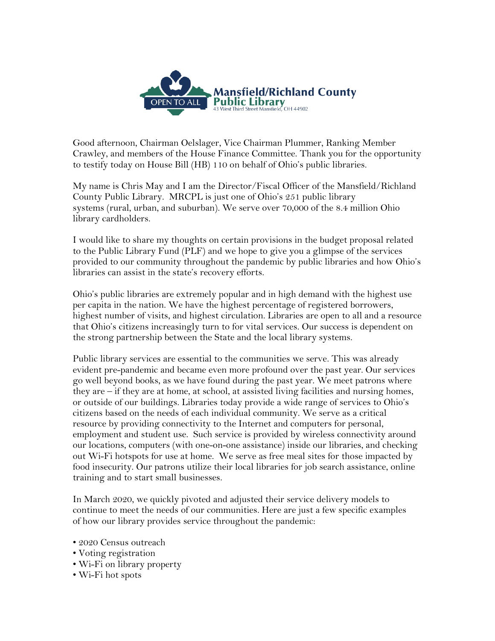

Good afternoon, Chairman Oelslager, Vice Chairman Plummer, Ranking Member Crawley, and members of the House Finance Committee. Thank you for the opportunity to testify today on House Bill (HB) 110 on behalf of Ohio's public libraries.

My name is Chris May and I am the Director/Fiscal Officer of the Mansfield/Richland County Public Library. MRCPL is just one of Ohio's 251 public library systems (rural, urban, and suburban). We serve over 70,000 of the 8.4 million Ohio library cardholders.

I would like to share my thoughts on certain provisions in the budget proposal related to the Public Library Fund (PLF) and we hope to give you a glimpse of the services provided to our community throughout the pandemic by public libraries and how Ohio's libraries can assist in the state's recovery efforts.

Ohio's public libraries are extremely popular and in high demand with the highest use per capita in the nation. We have the highest percentage of registered borrowers, highest number of visits, and highest circulation. Libraries are open to all and a resource that Ohio's citizens increasingly turn to for vital services. Our success is dependent on the strong partnership between the State and the local library systems.

Public library services are essential to the communities we serve. This was already evident pre-pandemic and became even more profound over the past year. Our services go well beyond books, as we have found during the past year. We meet patrons where they are – if they are at home, at school, at assisted living facilities and nursing homes, or outside of our buildings. Libraries today provide a wide range of services to Ohio's citizens based on the needs of each individual community. We serve as a critical resource by providing connectivity to the Internet and computers for personal, employment and student use. Such service is provided by wireless connectivity around our locations, computers (with one-on-one assistance) inside our libraries, and checking out Wi-Fi hotspots for use at home. We serve as free meal sites for those impacted by food insecurity. Our patrons utilize their local libraries for job search assistance, online training and to start small businesses.

In March 2020, we quickly pivoted and adjusted their service delivery models to continue to meet the needs of our communities. Here are just a few specific examples of how our library provides service throughout the pandemic:

- 2020 Census outreach
- Voting registration
- Wi-Fi on library property
- Wi-Fi hot spots